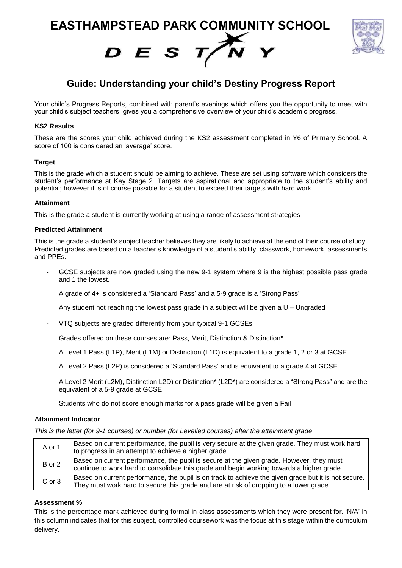**EASTHAMPSTEAD PARK COMMUNITY SCHOOL**





# **Guide: Understanding your child's Destiny Progress Report**

Your child's Progress Reports, combined with parent's evenings which offers you the opportunity to meet with your child's subject teachers, gives you a comprehensive overview of your child's academic progress.

# **KS2 Results**

These are the scores your child achieved during the KS2 assessment completed in Y6 of Primary School. A score of 100 is considered an 'average' score.

# **Target**

This is the grade which a student should be aiming to achieve. These are set using software which considers the student's performance at Key Stage 2. Targets are aspirational and appropriate to the student's ability and potential; however it is of course possible for a student to exceed their targets with hard work.

### **Attainment**

This is the grade a student is currently working at using a range of assessment strategies

### **Predicted Attainment**

This is the grade a student's subject teacher believes they are likely to achieve at the end of their course of study. Predicted grades are based on a teacher's knowledge of a student's ability, classwork, homework, assessments and PPEs.

GCSE subjects are now graded using the new 9-1 system where 9 is the highest possible pass grade and 1 the lowest.

A grade of 4+ is considered a 'Standard Pass' and a 5-9 grade is a 'Strong Pass'

Any student not reaching the lowest pass grade in a subject will be given a U – Ungraded

- VTQ subjects are graded differently from your typical 9-1 GCSEs

Grades offered on these courses are: Pass, Merit, Distinction & Distinction\*

A Level 1 Pass (L1P), Merit (L1M) or Distinction (L1D) is equivalent to a grade 1, 2 or 3 at GCSE

A Level 2 Pass (L2P) is considered a 'Standard Pass' and is equivalent to a grade 4 at GCSE

A Level 2 Merit (L2M), Distinction L2D) or Distinction\* (L2D\*) are considered a "Strong Pass" and are the equivalent of a 5-9 grade at GCSE

Students who do not score enough marks for a pass grade will be given a Fail

### **Attainment Indicator**

*This is the letter (for 9-1 courses) or number (for Levelled courses) after the attainment grade*

| A or 1 | Based on current performance, the pupil is very secure at the given grade. They must work hard<br>to progress in an attempt to achieve a higher grade.                                         |
|--------|------------------------------------------------------------------------------------------------------------------------------------------------------------------------------------------------|
| B or 2 | Based on current performance, the pupil is secure at the given grade. However, they must<br>continue to work hard to consolidate this grade and begin working towards a higher grade.          |
| C or 3 | Based on current performance, the pupil is on track to achieve the given grade but it is not secure.<br>They must work hard to secure this grade and are at risk of dropping to a lower grade. |

### **Assessment %**

This is the percentage mark achieved during formal in-class assessments which they were present for. 'N/A' in this column indicates that for this subject, controlled coursework was the focus at this stage within the curriculum delivery.